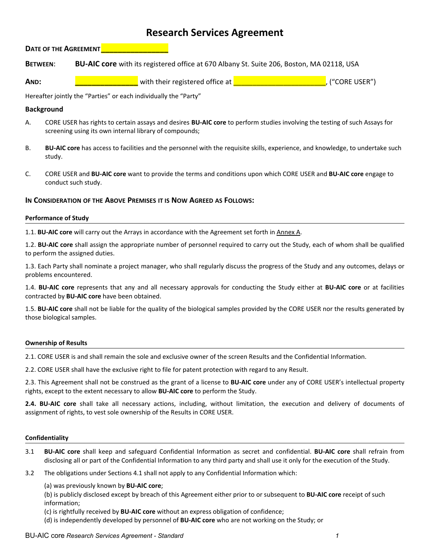# **Research Services Agreement**

**DATE OF THE AGREEMENT** 

- **BETWEEN**: **BU-AIC core** with its registered office at 670 Albany St. Suite 206, Boston, MA 02118, USA
- **AND: \_\_\_\_\_\_\_\_\_\_\_\_\_\_\_** with their registered office at \_\_\_\_\_\_\_\_\_\_\_\_\_\_\_\_\_\_\_\_\_\_\_\_, ("CORE USER")

Hereafter jointly the "Parties" or each individually the "Party"

# **Background**

- A. CORE USER has rights to certain assays and desires **BU-AIC core** to perform studies involving the testing of such Assays for screening using its own internal library of compounds;
- B. **BU-AIC core** has access to facilities and the personnel with the requisite skills, experience, and knowledge, to undertake such study.
- C. CORE USER and **BU-AIC core** want to provide the terms and conditions upon which CORE USER and **BU-AIC core** engage to conduct such study.

# **IN CONSIDERATION OF THE ABOVE PREMISES IT IS NOW AGREED AS FOLLOWS:**

## **Performance of Study**

1.1. **BU-AIC core** will carry out the Arrays in accordance with the Agreement set forth in Annex A.

1.2. **BU-AIC core** shall assign the appropriate number of personnel required to carry out the Study, each of whom shall be qualified to perform the assigned duties.

1.3. Each Party shall nominate a project manager, who shall regularly discuss the progress of the Study and any outcomes, delays or problems encountered.

1.4. **BU-AIC core** represents that any and all necessary approvals for conducting the Study either at **BU-AIC core** or at facilities contracted by **BU-AIC core** have been obtained.

1.5. **BU-AIC core** shall not be liable for the quality of the biological samples provided by the CORE USER nor the results generated by those biological samples.

## **Ownership of Results**

2.1. CORE USER is and shall remain the sole and exclusive owner of the screen Results and the Confidential Information.

2.2. CORE USER shall have the exclusive right to file for patent protection with regard to any Result.

2.3. This Agreement shall not be construed as the grant of a license to **BU-AIC core** under any of CORE USER's intellectual property rights, except to the extent necessary to allow **BU-AIC core** to perform the Study.

**2.4. BU-AIC core** shall take all necessary actions, including, without limitation, the execution and delivery of documents of assignment of rights, to vest sole ownership of the Results in CORE USER.

#### **Confidentiality**

- 3.1 **BU-AIC core** shall keep and safeguard Confidential Information as secret and confidential. **BU-AIC core** shall refrain from disclosing all or part of the Confidential Information to any third party and shall use it only for the execution of the Study.
- 3.2 The obligations under Sections 4.1 shall not apply to any Confidential Information which:

## (a) was previously known by **BU-AIC core**;

(b) is publicly disclosed except by breach of this Agreement either prior to or subsequent to **BU-AIC core** receipt of such information;

(c) is rightfully received by **BU-AIC core** without an express obligation of confidence;

(d) is independently developed by personnel of **BU-AIC core** who are not working on the Study; or